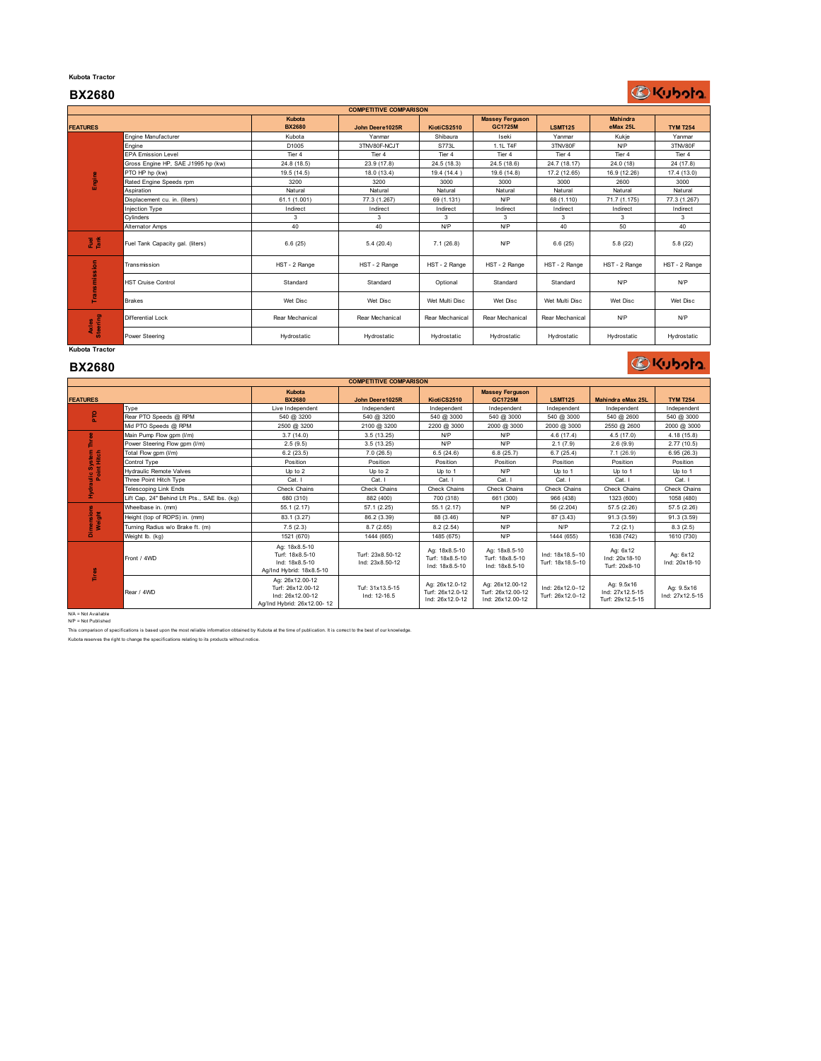#### **Kubota Tractor**

### **BX2680**

ľ

# **DKubota**

| <b>COMPETITIVE COMPARISON</b> |                                    |                  |                 |                 |                                   |                 |                      |                 |  |  |
|-------------------------------|------------------------------------|------------------|-----------------|-----------------|-----------------------------------|-----------------|----------------------|-----------------|--|--|
| <b>FEATURES</b>               |                                    | Kubota<br>BX2680 | John Deere1025R | KiotiCS2510     | <b>Massey Ferguson</b><br>GC1725M | <b>LSMT125</b>  | Mahindra<br>eMax 25L | <b>TYM T254</b> |  |  |
|                               | Engine Manufacturer                | Kubota           | Yanmar          | Shibaura        | Iseki                             | Yanmar          | Kukie                | Yanmar          |  |  |
|                               | Engine                             | D1005            | 3TNV80F-NCJT    | S773L           | 1.1L T4F                          | 3TNV80F         | N/P                  | 3TNV80F         |  |  |
|                               | <b>EPA Emission Level</b>          | Tier 4           | Tier 4          | Tier 4          | Tier 4                            | Tier 4          | Tier 4               | Tier 4          |  |  |
|                               | Gross Engine HP, SAE J1995 hp (kw) | 24.8 (18.5)      | 23.9 (17.8)     | 24.5 (18.3)     | 24.5 (18.6)                       | 24.7 (18.17)    | 24.0(18)             | 24 (17.8)       |  |  |
|                               | PTO HP hp (kw)                     | 19.5 (14.5)      | 18.0 (13.4)     | 19.4 (14.4)     | 19.6 (14.8)                       | 17.2 (12.65)    | 16.9 (12.26)         | 17.4 (13.0)     |  |  |
| Engine                        | Rated Engine Speeds rpm            | 3200             | 3200            | 3000            | 3000                              | 3000            | 2600                 | 3000            |  |  |
|                               | Aspiration                         | Natural          | Natural         | Natural         | Natural                           | Natural         | Natural              | Natural         |  |  |
|                               | Displacement cu. in. (liters)      | 61.1 (1.001)     | 77.3 (1.267)    | 69 (1.131)      | N/P                               | 68 (1.110)      | 71.7 (1.175)         | 77.3 (1.267)    |  |  |
|                               | <b>Injection Type</b>              | Indirect         | Indirect        | Indirect        | Indirect                          | Indirect        | Indirect             | Indirect        |  |  |
|                               | Cvlinders                          | 3                | 3               | 3               | 3                                 | 3               | 3                    | 3               |  |  |
|                               | Alternator Amps                    | 40               | 40              | N/P             | N/P                               | 40              | 50                   | 40              |  |  |
| $\overline{B}$                | Fuel Tank Capacity gal. (liters)   | 6.6(25)          | 5.4(20.4)       | 7.1(26.8)       | N/P                               | 6.6(25)         | 5.8(22)              | 5.8(22)         |  |  |
| ۰                             | Transmission                       | HST - 2 Range    | HST - 2 Range   | HST - 2 Range   | HST - 2 Range                     | HST - 2 Range   | HST - 2 Range        | HST - 2 Range   |  |  |
|                               | <b>HST Cruise Control</b>          | Standard         | Standard        | Optional        | Standard                          | Standard        | N/P                  | N/P             |  |  |
|                               | <b>Brakes</b>                      | Wet Disc         | Wet Disc        | Wet Multi Disc  | Wet Disc                          | Wet Multi Disc  | Wet Disc             | Wet Disc        |  |  |
| Axles<br>Steering             | Differential Lock                  | Rear Mechanical  | Rear Mechanical | Rear Mechanical | Rear Mechanical                   | Rear Mechanical | N/P                  | N/P             |  |  |
|                               | Power Steering                     | Hydrostatic      | Hydrostatic     | Hydrostatic     | Hydrostatic                       | Hydrostatic     | Hydrostatic          | Hydrostatic     |  |  |
| <b>Kubota Tractor</b>         |                                    |                  |                 |                 |                                   |                 |                      |                 |  |  |

### **BX2680**

**DKubota** 

| <b>COMPETITIVE COMPARISON</b>                 |                                                                                                                                                                                                                                                                             |                                                                                        |                                     |                                                       |                                                          |                                     |                                                   |                               |  |  |
|-----------------------------------------------|-----------------------------------------------------------------------------------------------------------------------------------------------------------------------------------------------------------------------------------------------------------------------------|----------------------------------------------------------------------------------------|-------------------------------------|-------------------------------------------------------|----------------------------------------------------------|-------------------------------------|---------------------------------------------------|-------------------------------|--|--|
| <b>FEATURES</b>                               |                                                                                                                                                                                                                                                                             | Kubota<br><b>BX2680</b>                                                                | John Deere1025R                     | KiotiCS2510                                           | <b>Massey Ferguson</b><br><b>GC1725M</b>                 | <b>LSMT125</b>                      | Mahindra eMax 25L                                 | <b>TYM T254</b>               |  |  |
| ξ                                             | Type                                                                                                                                                                                                                                                                        | Live Independent                                                                       | Independent                         | Independent                                           | Independent                                              | Independent                         | Independent                                       | Independent                   |  |  |
|                                               | Rear PTO Speeds @ RPM                                                                                                                                                                                                                                                       | 540 @ 3200                                                                             | 540 @ 3200                          | 540 @ 3000                                            | 540 @ 3000                                               | 540 @ 3000                          | 540 @ 2600                                        | 540 @ 3000                    |  |  |
|                                               | Mid PTO Speeds @ RPM                                                                                                                                                                                                                                                        | 2500 @ 3200                                                                            | 2100 @ 3200                         | 2200 @ 3000                                           | 2000 @ 3000                                              | 2000 @ 3000                         | 2550 @ 2600                                       | 2000 @ 3000                   |  |  |
|                                               | Main Pump Flow gpm (I/m)                                                                                                                                                                                                                                                    | 3.7(14.0)                                                                              | 3.5(13.25)                          | N/P                                                   | N/P                                                      | 4.6(17.4)                           | 4.5(17.0)                                         | 4.18(15.8)                    |  |  |
| Three                                         | Power Steering Flow gpm (I/m)                                                                                                                                                                                                                                               | 2.5(9.5)                                                                               | 3.5(13.25)                          | N/P                                                   | N/P                                                      | 2.1(7.9)                            | 2.6(9.9)                                          | 2.77(10.5)                    |  |  |
| /draulic System 1<br>Point Hitch              | Total Flow gpm (I/m)                                                                                                                                                                                                                                                        | 6.2(23.5)                                                                              | 7.0(26.5)                           | 6.5(24.6)                                             | 6.8(25.7)                                                | 6.7(25.4)                           | 7.1(26.9)                                         | 6.95(26.3)                    |  |  |
|                                               | Control Type                                                                                                                                                                                                                                                                | Position                                                                               | Position                            | Position                                              | Position                                                 | Position                            | Position                                          | Position                      |  |  |
|                                               | <b>Hydraulic Remote Valves</b>                                                                                                                                                                                                                                              | Up to 2                                                                                | Up to 2                             | Up to 1                                               | N/P                                                      | Up to 1                             | Up to 1                                           | Up to 1                       |  |  |
|                                               | Three Point Hitch Type                                                                                                                                                                                                                                                      | Cat. I                                                                                 | Cat. I                              | Cat. I                                                | Cat. I                                                   | Cat. I                              | Cat. I                                            | Cat. I                        |  |  |
|                                               | Telescoping Link Ends                                                                                                                                                                                                                                                       | Check Chains                                                                           | Check Chains                        | <b>Check Chains</b>                                   | Check Chains                                             | Check Chains                        | Check Chains                                      | Check Chains                  |  |  |
| 全                                             | Lift Cap, 24" Behind Lft Pts., SAE Ibs. (kg)                                                                                                                                                                                                                                | 680 (310)                                                                              | 882 (400)                           | 700 (318)                                             | 661 (300)                                                | 966 (438)                           | 1323 (600)                                        | 1058 (480)                    |  |  |
|                                               | Wheelbase in. (mm)                                                                                                                                                                                                                                                          | 55.1 (2.17)                                                                            | 57.1 (2.25)                         | 55.1 (2.17)                                           | N/P                                                      | 56 (2.204)                          | 57.5 (2.26)                                       | 57.5 (2.26)                   |  |  |
|                                               | Height (top of ROPS) in, (mm)                                                                                                                                                                                                                                               | 83.1 (3.27)                                                                            | 86.2 (3.39)                         | 88 (3.46)                                             | N/P                                                      | 87 (3.43)                           | 91.3 (3.59)                                       | 91.3(3.59)                    |  |  |
| Dimensions<br>Weight                          | Turning Radius w/o Brake ft. (m)                                                                                                                                                                                                                                            | 7.5(2.3)                                                                               | 8.7(2.65)                           | 8.2(2.54)                                             | N/P                                                      | N/P                                 | 7.2(2.1)                                          | 8.3(2.5)                      |  |  |
|                                               | Weight Ib. (kg)                                                                                                                                                                                                                                                             | 1521 (670)                                                                             | 1444 (665)                          | 1485 (675)                                            | N/P                                                      | 1444 (655)                          | 1638 (742)                                        | 1610 (730)                    |  |  |
| Tires                                         | Front / 4WD                                                                                                                                                                                                                                                                 | Ag: 18x8.5-10<br>Turf: 18x8.5-10<br>Ind: 18x8.5-10<br>Ag/Ind Hybrid: 18x8.5-10         | Turf: 23x8.50-12<br>Ind: 23x8.50-12 | Ag: 18x8.5-10<br>Turf: 18x8.5-10<br>Ind: 18x8.5-10    | Ag: 18x8.5-10<br>Turf: 18x8.5-10<br>Ind: 18x8.5-10       | Ind: 18x18.5-10<br>Turf: 18x18.5-10 | Ag: 6x12<br>Ind: 20x18-10<br>Turf: 20x8-10        | Ag: 6x12<br>Ind: 20x18-10     |  |  |
|                                               | Rear / 4WD                                                                                                                                                                                                                                                                  | Ag: 26x12.00-12<br>Turf: 26x12.00-12<br>Ind: 26x12.00-12<br>Ag/Ind Hybrid: 26x12.00-12 | Tuf: 31x13.5-15<br>Ind: 12-16.5     | Ag: 26x12.0-12<br>Turf: 26x12.0-12<br>Ind: 26x12.0-12 | Ag: 26x12.00-12<br>Turf: 26x12.00-12<br>Ind: 26x12.00-12 | Ind: 26x12.0-12<br>Turf: 26x12.0-12 | Ag: 9.5x16<br>Ind: 27x12.5-15<br>Turf: 29x12.5-15 | Ag: 9.5x16<br>Ind: 27x12.5-15 |  |  |
| $N/A = Not Available$<br>$NP = Not$ Published | This comparison of specifications is based upon the most reliable information obtained by Kubota at the time of publication. It is correct to the best of our knowledge.<br>Kubota reserves the right to change the specifications relating to its products without notice. |                                                                                        |                                     |                                                       |                                                          |                                     |                                                   |                               |  |  |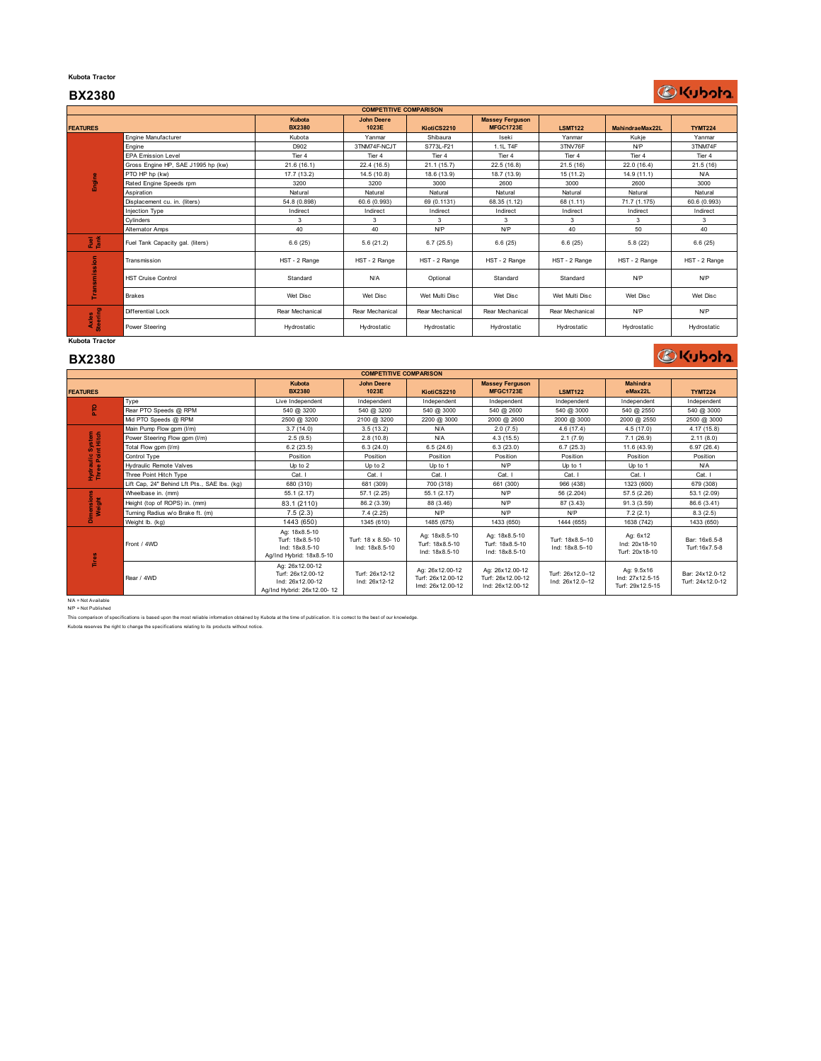#### **Kubota Tractor**

### **BX2380**

# **DKubota**

| <b>COMPETITIVE COMPARISON</b> |                                    |                         |                            |                 |                                            |                 |                 |                |  |  |  |
|-------------------------------|------------------------------------|-------------------------|----------------------------|-----------------|--------------------------------------------|-----------------|-----------------|----------------|--|--|--|
| <b>FEATURES</b>               |                                    | Kubota<br><b>BX2380</b> | <b>John Deere</b><br>1023E | KiotiCS2210     | <b>Massey Ferguson</b><br><b>MFGC1723E</b> | <b>LSMT122</b>  | MahindraeMax22L | <b>TYMT224</b> |  |  |  |
|                               | Engine Manufacturer                | Kubota                  | Yanmar                     | Shibaura        | Iseki                                      | Yanmar          | Kukje           | Yanmar         |  |  |  |
|                               | Engine                             | D902                    | 3TNM74F-NCJT               | S773L-F21       | 1.1L T4F                                   | 3TNV76F         | N/P             | 3TNM74F        |  |  |  |
|                               | <b>EPA Emission Level</b>          | Tier 4                  | Tier 4                     | Tier 4          | Tier 4                                     | Tier 4          | Tier 4          | Tier 4         |  |  |  |
|                               | Gross Engine HP. SAE J1995 hp (kw) | 21.6(16.1)              | 22.4(16.5)                 | 21.1(15.7)      | 22.5(16.8)                                 | 21.5(16)        | 22.0(16.4)      | 21.5(16)       |  |  |  |
|                               | PTO HP hp (kw)                     | 17.7 (13.2)             | 14.5 (10.8)                | 18.6 (13.9)     | 18.7 (13.9)                                | 15(11.2)        | 14.9(11.1)      | N/A            |  |  |  |
| ig<br>Engi                    | Rated Engine Speeds rpm            | 3200                    | 3200                       | 3000            | 2600                                       | 3000            | 2600            | 3000           |  |  |  |
|                               | Aspiration                         | Natural                 | Natural                    | Natural         | Natural                                    | Natural         | Natural         | Natural        |  |  |  |
|                               | Displacement cu. in. (liters)      | 54.8 (0.898)            | 60.6 (0.993)               | 69 (0.1131)     | 68.35 (1.12)                               | 68 (1.11)       | 71.7 (1.175)    | 60.6 (0.993)   |  |  |  |
|                               | <b>Injection Type</b>              | Indirect                | Indirect                   | Indirect        | Indirect                                   | Indirect        | Indirect        | Indirect       |  |  |  |
|                               | Cvlinders                          | 3                       | 3                          | 3               | 3                                          | 3               | 3               | 3              |  |  |  |
|                               | <b>Alternator Amps</b>             | 40                      | 40                         | <b>N/P</b>      | N/P                                        | 40              | 50              | 40             |  |  |  |
| <b>Punk</b>                   | Fuel Tank Capacity gal. (liters)   | 6.6(25)                 | 5.6(21.2)                  | 6.7(25.5)       | 6.6(25)                                    | 6.6(25)         | 5.8(22)         | 6.6(25)        |  |  |  |
| ō                             | Transmission                       | HST - 2 Range           | HST - 2 Range              | HST - 2 Range   | HST - 2 Range                              | HST - 2 Range   | HST - 2 Range   | HST - 2 Range  |  |  |  |
|                               | <b>HST Cruise Control</b>          | Standard                | N/A                        | Optional        | Standard                                   | Standard        | N/P             | N/P            |  |  |  |
|                               | <b>Brakes</b>                      | Wet Disc                | Wet Disc                   | Wet Multi Disc  | Wet Disc                                   | Wet Multi Disc  | Wet Disc        | Wet Disc       |  |  |  |
|                               | Differential Lock                  | Rear Mechanical         | Rear Mechanical            | Rear Mechanical | Rear Mechanical                            | Rear Mechanical | N/P             | N/P            |  |  |  |
| <b>Steering</b><br>Axles      | Power Steering                     | Hydrostatic             | Hydrostatic                | Hydrostatic     | Hydrostatic                                | Hydrostatic     | Hydrostatic     | Hydrostatic    |  |  |  |
| <b>Kubota Tractor</b>         |                                    |                         |                            |                 |                                            |                 |                 |                |  |  |  |

### **BX2380**

## **Coldubota**

| <b>COMPETITIVE COMPARISON</b> |                                              |                                                                                        |                                       |                                                          |                                                          |                                     |                                                   |                                     |  |  |
|-------------------------------|----------------------------------------------|----------------------------------------------------------------------------------------|---------------------------------------|----------------------------------------------------------|----------------------------------------------------------|-------------------------------------|---------------------------------------------------|-------------------------------------|--|--|
| <b>FEATURES</b>               |                                              | Kubota<br><b>BX2380</b>                                                                | <b>John Deere</b><br>1023E            | KiotiCS2210                                              | <b>Massey Ferguson</b><br>MFGC1723E                      | <b>LSMT122</b>                      | <b>Mahindra</b><br>eMax22L                        | <b>TYMT224</b>                      |  |  |
|                               | Type                                         | Live Independent                                                                       | Independent                           | Independent                                              | Independent                                              | Independent                         | Independent                                       | Independent                         |  |  |
| £                             | Rear PTO Speeds @ RPM                        | 540 @ 3200                                                                             | 540 @ 3200                            | 540 @ 3000                                               | 540 @ 2600                                               | 540 @ 3000                          | 540 @ 2550                                        | 540 @ 3000                          |  |  |
|                               | Mid PTO Speeds @ RPM                         | 2500 @ 3200                                                                            | 2100 @ 3200                           | 2200 @ 3000                                              | 2000 @ 2600                                              | 2000 @ 3000                         | 2000 @ 2550                                       | 2500 @ 3000                         |  |  |
|                               | Main Pump Flow gpm (I/m)                     | 3.7(14.0)                                                                              | 3.5(13.2)                             | <b>N/A</b>                                               | 2.0(7.5)                                                 | 4.6(17.4)                           | 4.5(17.0)                                         | 4.17(15.8)                          |  |  |
|                               | Power Steering Flow gpm (I/m)                | 2.5(9.5)                                                                               | 2.8(10.8)                             | <b>N/A</b>                                               | 4.3(15.5)                                                | 2.1(7.9)                            | 7.1(26.9)                                         | 2.11(8.0)                           |  |  |
| System<br>nt Hitch            | Total Flow gpm (I/m)                         | 6.2(23.5)                                                                              | 6.3(24.0)                             | 6.5(24.6)                                                | 6.3(23.0)                                                | 6.7(25.3)                           | 11.6 (43.9)                                       | 6.97(26.4)                          |  |  |
| ¦e ⊺                          | Control Type                                 | Position                                                                               | Position                              | Position                                                 | Position                                                 | Position                            | Position                                          | Position                            |  |  |
|                               | <b>Hydraulic Remote Valves</b>               | Up to 2                                                                                | Up to 2                               | Up to 1                                                  | N/P                                                      | Up to 1                             | Up to 1                                           | N/A                                 |  |  |
| Hydrau<br>Three               | Three Point Hitch Type                       | Cat. I                                                                                 | Cat. I                                | Cat. I                                                   | Cat. I                                                   | Cat. I                              | Cat. I                                            | Cat. I                              |  |  |
|                               | Lift Cap, 24" Behind Lft Pts., SAE Ibs. (kg) | 680 (310)                                                                              | 681 (309)                             | 700 (318)                                                | 661 (300)                                                | 966 (438)                           | 1323 (600)                                        | 679 (308)                           |  |  |
|                               | Wheelbase in. (mm)                           | 55.1 (2.17)                                                                            | 57.1 (2.25)                           | 55.1(2.17)                                               | N/P                                                      | 56 (2.204)                          | 57.5 (2.26)                                       | 53.1 (2.09)                         |  |  |
| mension<br><b>Neight</b>      | Height (top of ROPS) in. (mm)                | 83.1 (2110)                                                                            | 86.2 (3.39)                           | 88 (3.46)                                                | N/P                                                      | 87 (3.43)                           | 91.3 (3.59)                                       | 86.6 (3.41)                         |  |  |
|                               | Turning Radius w/o Brake ft. (m)             | 7.5(2.3)                                                                               | 7.4(2.25)                             | <b>N/P</b>                                               | N/P                                                      | N/P                                 | 7.2(2.1)                                          | 8.3(2.5)                            |  |  |
| ä                             | Weight lb. (kg)                              | 1443 (650)                                                                             | 1345 (610)                            | 1485 (675)                                               | 1433 (650)                                               | 1444 (655)                          | 1638 (742)                                        | 1433 (650)                          |  |  |
| Tires                         | Front / 4WD                                  | Ag: 18x8.5-10<br>Turf: 18x8.5-10<br>Ind: 18x8.5-10<br>Ag/Ind Hybrid: 18x8.5-10         | Turf: 18 x 8.50- 10<br>Ind: 18x8.5-10 | Ag: 18x8.5-10<br>Turf: 18x8.5-10<br>Ind: 18x8.5-10       | Ag: 18x8.5-10<br>Turf: 18x8.5-10<br>Ind: 18x8.5-10       | Turf: 18x8.5-10<br>Ind: 18x8.5-10   | Ag: 6x12<br>Ind: 20x18-10<br>Turf: 20x18-10       | Bar: 16x6.5-8<br>Turf: 16x7.5-8     |  |  |
|                               | Rear / 4WD                                   | Ag: 26x12.00-12<br>Turf: 26x12.00-12<br>Ind: 26x12.00-12<br>Ag/Ind Hybrid: 26x12.00-12 | Turf: 26x12-12<br>Ind: 26x12-12       | Ag: 26x12.00-12<br>Turf: 26x12.00-12<br>Imd: 26x12.00-12 | Ag: 26x12.00-12<br>Turf: 26x12.00-12<br>Ind: 26x12.00-12 | Turf: 26x12.0-12<br>Ind: 26x12.0-12 | Ag: 9.5x16<br>Ind: 27x12.5-15<br>Turf: 29x12.5-15 | Bar: 24x12.0-12<br>Turf: 24x12.0-12 |  |  |

NA = Not Available<br>NP = Not Published<br>This comparison of specifications is based upon the most reliable information obtained by Kubota at the time of publication. It is correct to the best of our knowledge.<br>This comparis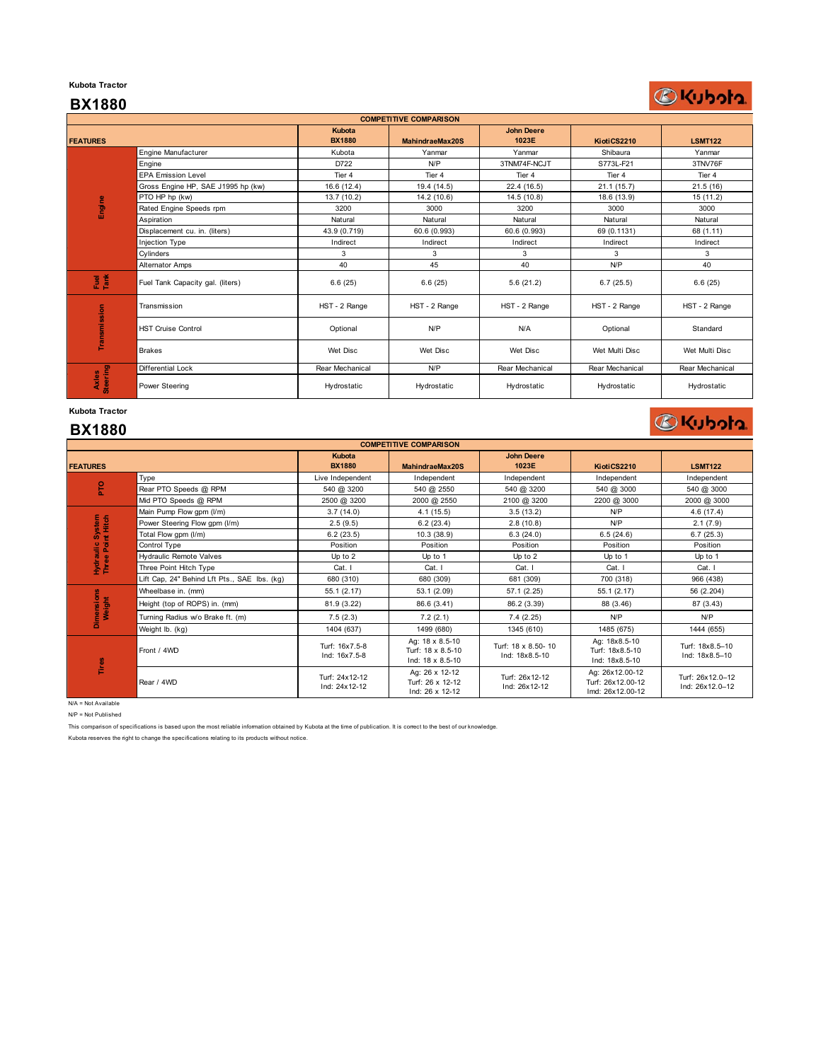## **Kubota Tractor BX1880**

# **OKubota**

|                          |                                    |                         | <b>COMPETITIVE COMPARISON</b> |                            |                   |                   |
|--------------------------|------------------------------------|-------------------------|-------------------------------|----------------------------|-------------------|-------------------|
| <b>FEATURES</b>          |                                    | Kubota<br><b>BX1880</b> | MahindraeMax20S               | <b>John Deere</b><br>1023E | KiotiCS2210       | <b>LSMT122</b>    |
|                          | Engine Manufacturer                | Kubota                  | Yanmar                        | Yanmar                     | Shibaura          | Yanmar            |
|                          | Engine                             | D722                    | N/P                           | 3TNM74F-NCJT               | S773L-F21         | 3TNV76F           |
|                          | <b>EPA Emission Level</b>          | Tier <sub>4</sub>       | Tier <sub>4</sub>             | Tier <sub>4</sub>          | Tier <sub>4</sub> | Tier <sub>4</sub> |
|                          | Gross Engine HP, SAE J1995 hp (kw) | 16.6 (12.4)             | 19.4 (14.5)                   | 22.4 (16.5)                | 21.1(15.7)        | 21.5(16)          |
|                          | PTO HP hp (kw)                     | 13.7 (10.2)             | 14.2 (10.6)<br>14.5(10.8)     |                            | 18.6 (13.9)       | 15(11.2)          |
| Engine                   | Rated Engine Speeds rpm            | 3200                    | 3000<br>3200                  |                            | 3000              | 3000              |
|                          | Aspiration                         | Natural                 | Natural                       | Natural                    | Natural           | Natural           |
|                          | Displacement cu. in. (liters)      | 43.9 (0.719)            | 60.6 (0.993)                  | 60.6 (0.993)               | 69 (0.1131)       | 68 (1.11)         |
|                          | Injection Type                     | Indirect                | Indirect                      | Indirect                   | Indirect          | Indirect          |
|                          | Cvlinders                          | 3                       | 3                             | 3                          | 3                 | 3                 |
|                          | <b>Alternator Amps</b>             | 40                      | 45                            | 40                         | N/P               | 40                |
| 11                       | Fuel Tank Capacity gal. (liters)   | 6.6(25)                 | 6.6(25)                       | 5.6(21.2)                  | 6.7(25.5)         | 6.6(25)           |
|                          | Transmission                       | HST - 2 Range           | HST - 2 Range                 | HST - 2 Range              | HST - 2 Range     | HST - 2 Range     |
| Transmission             | <b>HST Cruise Control</b>          | Optional                | N/P                           | N/A                        | Optional          | Standard          |
|                          | <b>Brakes</b>                      | Wet Disc                | Wet Disc                      | Wet Disc                   | Wet Multi Disc    | Wet Multi Disc    |
|                          | Differential Lock                  | Rear Mechanical         | N/P                           | Rear Mechanical            | Rear Mechanical   | Rear Mechanical   |
| <b>Steering</b><br>Axles | Power Steering                     | Hydrostatic             | Hydrostatic                   | Hydrostatic                | Hydrostatic       | Hydrostatic       |

### **Kubota Tractor**

# **BX1880**

**DKubota** 

| <b>COMPETITIVE COMPARISON</b> |                                              |                                 |                                                          |                                      |                                                          |                                     |  |  |
|-------------------------------|----------------------------------------------|---------------------------------|----------------------------------------------------------|--------------------------------------|----------------------------------------------------------|-------------------------------------|--|--|
| <b>FEATURES</b>               |                                              | Kubota<br><b>BX1880</b>         | MahindraeMax20S                                          | <b>John Deere</b><br>1023E           | KiotiCS2210                                              | <b>LSMT122</b>                      |  |  |
| ΡF                            | Type                                         | Live Independent                | Independent                                              | Independent                          | Independent                                              | Independent                         |  |  |
|                               | Rear PTO Speeds @ RPM                        | 540 @ 3200                      | 540 @ 2550                                               | 540 @ 3200                           | 540 @ 3000                                               | 540 @ 3000                          |  |  |
|                               | Mid PTO Speeds @ RPM                         | 2500 @ 3200                     | 2000 @ 2550                                              | 2100 @ 3200                          | 2200 @ 3000                                              | 2000 @ 3000                         |  |  |
|                               | Main Pump Flow gpm (I/m)                     | 3.7(14.0)                       | 4.1(15.5)                                                | 3.5(13.2)                            | N/P                                                      | 4.6(17.4)                           |  |  |
|                               | Power Steering Flow gpm (I/m)                | 2.5(9.5)                        | 6.2(23.4)                                                | 2.8(10.8)                            | N/P                                                      | 2.1(7.9)                            |  |  |
| System<br>nt Hitch            | Total Flow gpm (I/m)                         | 6.2(23.5)                       | 10.3(38.9)                                               | 6.3(24.0)                            | 6.5(24.6)                                                | 6.7(25.3)                           |  |  |
|                               | Control Type                                 | Position                        | Position                                                 | Position                             | Position                                                 | Position                            |  |  |
|                               | <b>Hydraulic Remote Valves</b>               | Up to 2                         | Up to 1                                                  | Up to 2                              | Up to 1                                                  | Up to 1                             |  |  |
| Hydraulic<br>Three Poir       | Three Point Hitch Type                       | Cat. I                          | Cat. I                                                   | Cat. I                               | Cat. I                                                   | Cat. I                              |  |  |
|                               | Lift Cap, 24" Behind Lft Pts., SAE Ibs. (kg) | 680 (310)                       | 680 (309)                                                | 681 (309)                            | 700 (318)                                                | 966 (438)                           |  |  |
| ems                           | Wheelbase in. (mm)                           | 55.1(2.17)                      | 53.1 (2.09)                                              | 57.1 (2.25)                          | 55.1(2.17)                                               | 56 (2.204)                          |  |  |
| Weight<br>mensi               | Height (top of ROPS) in. (mm)                | 81.9 (3.22)                     | 86.6 (3.41)                                              | 86.2 (3.39)                          | 88 (3.46)                                                | 87 (3.43)                           |  |  |
|                               | Turning Radius w/o Brake ft. (m)             | 7.5(2.3)                        | 7.2(2.1)                                                 | 7.4(2.25)                            | N/P                                                      | N/P                                 |  |  |
| õ                             | Weight lb. (kg)                              | 1404 (637)                      | 1499 (680)                                               | 1345 (610)                           | 1485 (675)                                               | 1444 (655)                          |  |  |
| Tires                         | Front / 4WD                                  | Turf: 16x7.5-8<br>Ind: 16x7.5-8 | Ag: 18 x 8.5-10<br>Turf: 18 x 8.5-10<br>Ind: 18 x 8.5-10 | Turf: 18 x 8.50-10<br>Ind: 18x8.5-10 | Ag: 18x8.5-10<br>Turf: 18x8.5-10<br>Ind: 18x8.5-10       | Turf: 18x8.5-10<br>Ind: 18x8.5-10   |  |  |
|                               | Rear / 4WD                                   | Turf: 24x12-12<br>Ind: 24x12-12 | Ag: 26 x 12-12<br>Turf: 26 x 12-12<br>Ind: 26 x 12-12    | Turf: 26x12-12<br>Ind: 26x12-12      | Ag: 26x12.00-12<br>Turf: 26x12.00-12<br>Imd: 26x12.00-12 | Turf: 26x12.0-12<br>Ind: 26x12.0-12 |  |  |
| $N/A = Not Available$         |                                              |                                 |                                                          |                                      |                                                          |                                     |  |  |
| $N/P = Not$ Published         |                                              |                                 |                                                          |                                      |                                                          |                                     |  |  |

This comparison of specifications is based upon the most reliable information obtained by Kubota at the time of publication. It is correct to the best of our knowledge.

Kubota reserves the right to change the specifications relating to its products without notice.